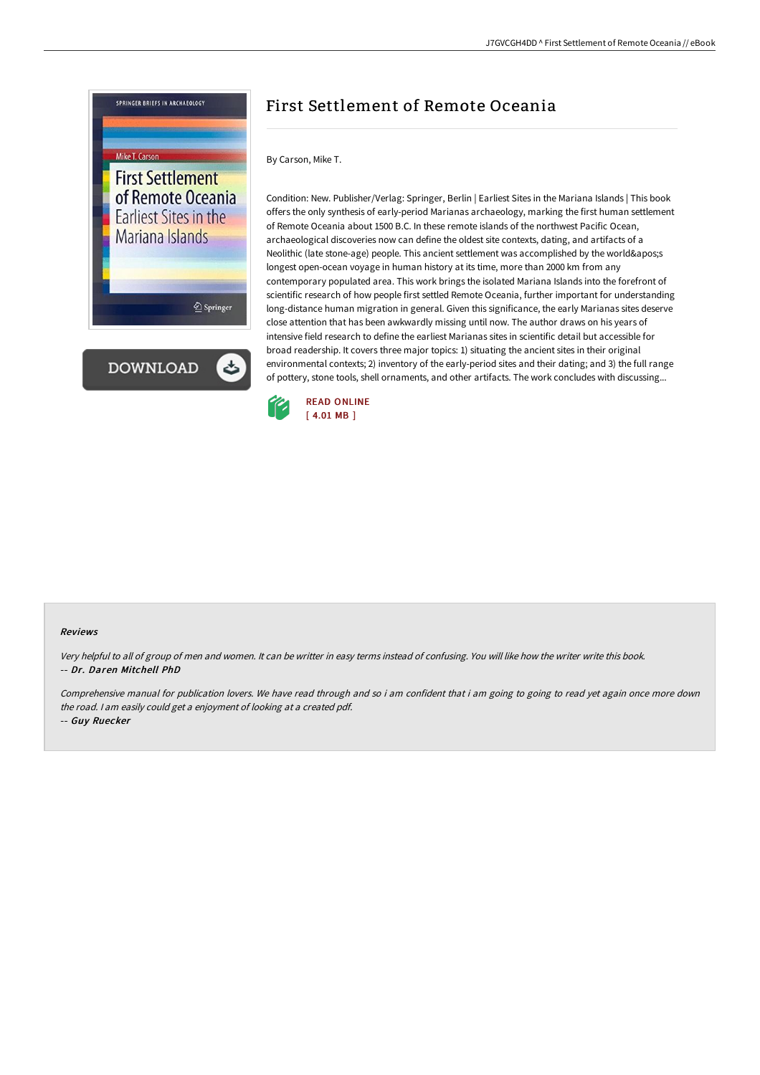

## First Settlement of Remote Oceania

By Carson, Mike T.

Condition: New. Publisher/Verlag: Springer, Berlin | Earliest Sites in the Mariana Islands | This book offers the only synthesis of early-period Marianas archaeology, marking the first human settlement of Remote Oceania about 1500 B.C. In these remote islands of the northwest Pacific Ocean, archaeological discoveries now can define the oldest site contexts, dating, and artifacts of a Neolithic (late stone-age) people. This ancient settlement was accomplished by the world's longest open-ocean voyage in human history at its time, more than 2000 km from any contemporary populated area. This work brings the isolated Mariana Islands into the forefront of scientific research of how people first settled Remote Oceania, further important for understanding long-distance human migration in general. Given this significance, the early Marianas sites deserve close attention that has been awkwardly missing until now. The author draws on his years of intensive field research to define the earliest Marianas sites in scientific detail but accessible for broad readership. It covers three major topics: 1) situating the ancient sites in their original environmental contexts; 2) inventory of the early-period sites and their dating; and 3) the full range of pottery, stone tools, shell ornaments, and other artifacts. The work concludes with discussing...



## Reviews

Very helpful to all of group of men and women. It can be writter in easy terms instead of confusing. You will like how the writer write this book. -- Dr. Daren Mitchell PhD

Comprehensive manual for publication lovers. We have read through and so i am confident that i am going to going to read yet again once more down the road. <sup>I</sup> am easily could get <sup>a</sup> enjoyment of looking at <sup>a</sup> created pdf. -- Guy Ruecker